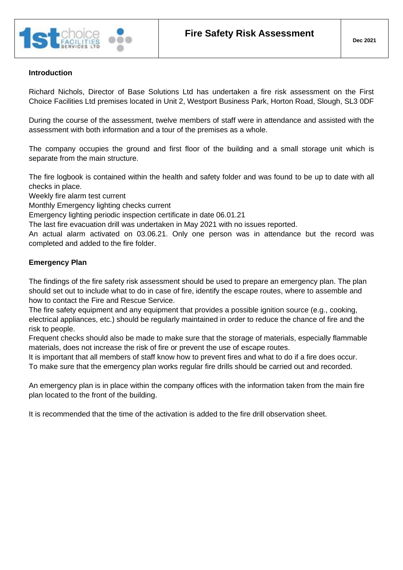

#### **Introduction**

Richard Nichols, Director of Base Solutions Ltd has undertaken a fire risk assessment on the First Choice Facilities Ltd premises located in Unit 2, Westport Business Park, Horton Road, Slough, SL3 0DF

During the course of the assessment, twelve members of staff were in attendance and assisted with the assessment with both information and a tour of the premises as a whole.

The company occupies the ground and first floor of the building and a small storage unit which is separate from the main structure.

The fire logbook is contained within the health and safety folder and was found to be up to date with all checks in place.

Weekly fire alarm test current

Monthly Emergency lighting checks current

Emergency lighting periodic inspection certificate in date 06.01.21

The last fire evacuation drill was undertaken in May 2021 with no issues reported.

An actual alarm activated on 03.06.21. Only one person was in attendance but the record was completed and added to the fire folder.

#### **Emergency Plan**

The findings of the fire safety risk assessment should be used to prepare an emergency plan. The plan should set out to include what to do in case of fire, identify the escape routes, where to assemble and how to contact the Fire and Rescue Service.

The fire safety equipment and any equipment that provides a possible ignition source (e.g., cooking, electrical appliances, etc.) should be regularly maintained in order to reduce the chance of fire and the risk to people.

Frequent checks should also be made to make sure that the storage of materials, especially flammable materials, does not increase the risk of fire or prevent the use of escape routes.

It is important that all members of staff know how to prevent fires and what to do if a fire does occur. To make sure that the emergency plan works regular fire drills should be carried out and recorded.

An emergency plan is in place within the company offices with the information taken from the main fire plan located to the front of the building.

It is recommended that the time of the activation is added to the fire drill observation sheet.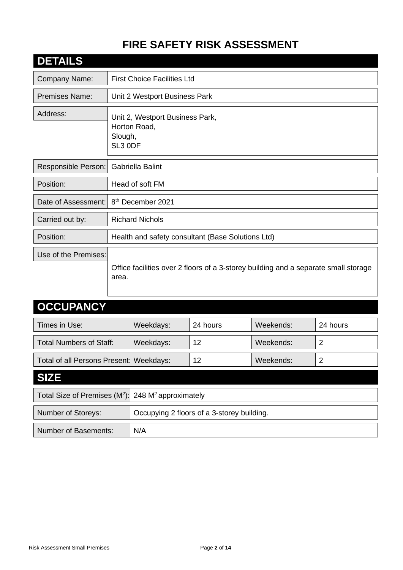# **FIRE SAFETY RISK ASSESSMENT**

| <b>DETAILS</b>        |                                                                                              |
|-----------------------|----------------------------------------------------------------------------------------------|
| Company Name:         | <b>First Choice Facilities Ltd</b>                                                           |
| <b>Premises Name:</b> | Unit 2 Westport Business Park                                                                |
| Address:              | Unit 2, Westport Business Park,<br>Horton Road,<br>Slough,<br>SL3 0DF                        |
| Responsible Person:   | Gabriella Balint                                                                             |
| Position:             | Head of soft FM                                                                              |
| Date of Assessment:   | 8 <sup>th</sup> December 2021                                                                |
| Carried out by:       | <b>Richard Nichols</b>                                                                       |
| Position:             | Health and safety consultant (Base Solutions Ltd)                                            |
| Use of the Premises:  | Office facilities over 2 floors of a 3-storey building and a separate small storage<br>area. |

# **OCCUPANCY**

| Times in Use:                           | Weekdays: | 24 hours | Weekends: | 24 hours |
|-----------------------------------------|-----------|----------|-----------|----------|
| <b>Total Numbers of Staff:</b>          | Weekdays: | 12       | Weekends: |          |
| Total of all Persons Present: Weekdays: |           | 12       | Weekends: |          |
|                                         |           |          |           |          |

# **SIZE**

| Total Size of Premises $(M^2)$ : 248 M <sup>2</sup> approximately |                                            |
|-------------------------------------------------------------------|--------------------------------------------|
| <b>Number of Storeys:</b>                                         | Occupying 2 floors of a 3-storey building. |
| <b>Number of Basements:</b>                                       | N/A                                        |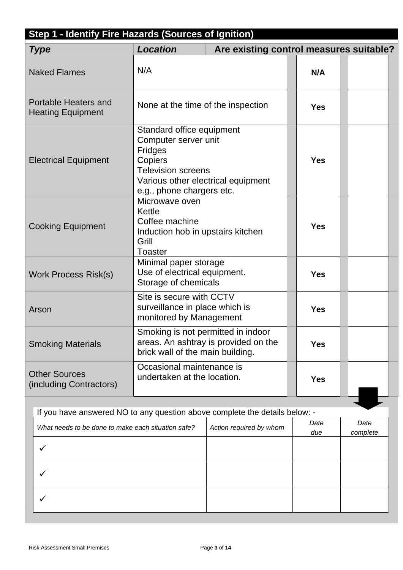| Step 1 - Identify Fire Hazards (Sources of Ignition) |                                                                                                                                                                                |                                         |  |            |  |
|------------------------------------------------------|--------------------------------------------------------------------------------------------------------------------------------------------------------------------------------|-----------------------------------------|--|------------|--|
| <b>Type</b>                                          | <b>Location</b>                                                                                                                                                                | Are existing control measures suitable? |  |            |  |
| <b>Naked Flames</b>                                  | N/A                                                                                                                                                                            |                                         |  | N/A        |  |
| Portable Heaters and<br><b>Heating Equipment</b>     | None at the time of the inspection                                                                                                                                             |                                         |  | <b>Yes</b> |  |
| <b>Electrical Equipment</b>                          | Standard office equipment<br>Computer server unit<br><b>Fridges</b><br>Copiers<br><b>Television screens</b><br>Various other electrical equipment<br>e.g., phone chargers etc. |                                         |  | <b>Yes</b> |  |
| <b>Cooking Equipment</b>                             | Microwave oven<br>Kettle<br>Coffee machine<br>Induction hob in upstairs kitchen<br>Grill<br><b>Toaster</b>                                                                     |                                         |  | <b>Yes</b> |  |
| Work Process Risk(s)                                 | Minimal paper storage<br>Use of electrical equipment.<br>Storage of chemicals                                                                                                  |                                         |  | <b>Yes</b> |  |
| Arson                                                | Site is secure with CCTV<br>surveillance in place which is<br>monitored by Management                                                                                          |                                         |  | <b>Yes</b> |  |
| <b>Smoking Materials</b>                             | Smoking is not permitted in indoor<br>brick wall of the main building.                                                                                                         | areas. An ashtray is provided on the    |  | <b>Yes</b> |  |
| <b>Other Sources</b><br>(including Contractors)      | Occasional maintenance is<br>undertaken at the location.                                                                                                                       |                                         |  | <b>Yes</b> |  |

If you have answered NO to any question above complete the details below: - *What needs to be done to make each situation safe? Action required by whom Date due Date complete* ✓ ✓ ✓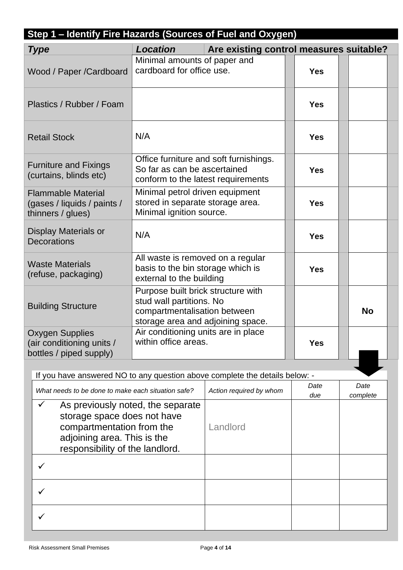| Step 1 - Identify Fire Hazards (Sources of Fuel and Oxygen)                                                                                                                     |                                                                                                                                     |                                         |  |            |           |
|---------------------------------------------------------------------------------------------------------------------------------------------------------------------------------|-------------------------------------------------------------------------------------------------------------------------------------|-----------------------------------------|--|------------|-----------|
| <b>Type</b>                                                                                                                                                                     | <b>Location</b>                                                                                                                     | Are existing control measures suitable? |  |            |           |
| Wood / Paper /Cardboard                                                                                                                                                         | Minimal amounts of paper and<br>cardboard for office use.                                                                           |                                         |  | <b>Yes</b> |           |
| Plastics / Rubber / Foam                                                                                                                                                        |                                                                                                                                     |                                         |  | <b>Yes</b> |           |
| <b>Retail Stock</b>                                                                                                                                                             | N/A                                                                                                                                 |                                         |  | <b>Yes</b> |           |
| <b>Furniture and Fixings</b><br>(curtains, blinds etc)                                                                                                                          | So far as can be ascertained<br>conform to the latest requirements                                                                  | Office furniture and soft furnishings.  |  | <b>Yes</b> |           |
| <b>Flammable Material</b><br>(gases / liquids / paints /<br>thinners / glues)                                                                                                   | Minimal petrol driven equipment<br>stored in separate storage area.<br>Minimal ignition source.                                     |                                         |  | <b>Yes</b> |           |
| Display Materials or<br><b>Decorations</b>                                                                                                                                      | N/A                                                                                                                                 |                                         |  | <b>Yes</b> |           |
| All waste is removed on a regular<br><b>Waste Materials</b><br>basis to the bin storage which is<br>(refuse, packaging)<br>external to the building                             |                                                                                                                                     |                                         |  | <b>Yes</b> |           |
| <b>Building Structure</b>                                                                                                                                                       | Purpose built brick structure with<br>stud wall partitions. No<br>compartmentalisation between<br>storage area and adjoining space. |                                         |  |            | <b>No</b> |
| <b>Oxygen Supplies</b><br>(air conditioning units /<br>bottles / piped supply)                                                                                                  | Air conditioning units are in place<br>within office areas.                                                                         |                                         |  | <b>Yes</b> |           |
|                                                                                                                                                                                 |                                                                                                                                     |                                         |  |            |           |
| If you have answered NO to any question above complete the details below: -                                                                                                     |                                                                                                                                     |                                         |  | Date       | Date      |
| What needs to be done to make each situation safe?                                                                                                                              |                                                                                                                                     | Action required by whom                 |  | due        | complete  |
| As previously noted, the separate<br>$\checkmark$<br>storage space does not have<br>compartmentation from the<br>adjoining area. This is the<br>responsibility of the landlord. |                                                                                                                                     | Landlord                                |  |            |           |
| ✓                                                                                                                                                                               |                                                                                                                                     |                                         |  |            |           |
| ✓                                                                                                                                                                               |                                                                                                                                     |                                         |  |            |           |
|                                                                                                                                                                                 |                                                                                                                                     |                                         |  |            |           |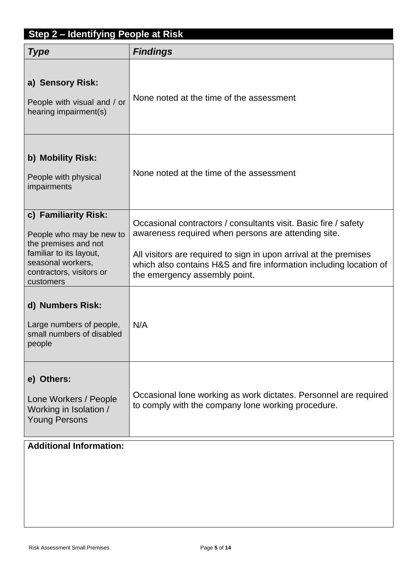| Step 2 - Identifying People at Risk                                                                                                                               |                                                                                                                                                                                                                                                                                                    |
|-------------------------------------------------------------------------------------------------------------------------------------------------------------------|----------------------------------------------------------------------------------------------------------------------------------------------------------------------------------------------------------------------------------------------------------------------------------------------------|
| <b>Type</b>                                                                                                                                                       | <b>Findings</b>                                                                                                                                                                                                                                                                                    |
| a) Sensory Risk:<br>People with visual and / or<br>hearing impairment(s)                                                                                          | None noted at the time of the assessment                                                                                                                                                                                                                                                           |
| b) Mobility Risk:<br>People with physical<br>impairments                                                                                                          | None noted at the time of the assessment                                                                                                                                                                                                                                                           |
| c) Familiarity Risk:<br>People who may be new to<br>the premises and not<br>familiar to its layout,<br>seasonal workers,<br>contractors, visitors or<br>customers | Occasional contractors / consultants visit. Basic fire / safety<br>awareness required when persons are attending site.<br>All visitors are required to sign in upon arrival at the premises<br>which also contains H&S and fire information including location of<br>the emergency assembly point. |
| d) Numbers Risk:<br>Large numbers of people,<br>small numbers of disabled<br>people                                                                               | N/A                                                                                                                                                                                                                                                                                                |
| e) Others:<br>Lone Workers / People<br>Working in Isolation /<br><b>Young Persons</b>                                                                             | Occasional lone working as work dictates. Personnel are required<br>to comply with the company lone working procedure.                                                                                                                                                                             |
| <b>Additional Information:</b>                                                                                                                                    |                                                                                                                                                                                                                                                                                                    |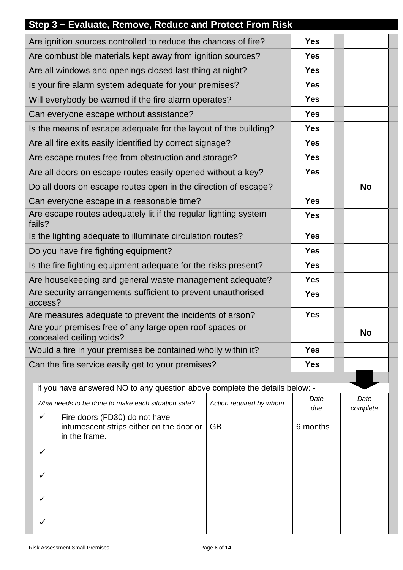| Step 3 ~ Evaluate, Remove, Reduce and Protect From Risk                                                                 |                                |           |  |  |
|-------------------------------------------------------------------------------------------------------------------------|--------------------------------|-----------|--|--|
| Are ignition sources controlled to reduce the chances of fire?<br><b>Yes</b>                                            |                                |           |  |  |
| Are combustible materials kept away from ignition sources?                                                              | <b>Yes</b>                     |           |  |  |
| Are all windows and openings closed last thing at night?                                                                | <b>Yes</b>                     |           |  |  |
| Is your fire alarm system adequate for your premises?                                                                   | <b>Yes</b>                     |           |  |  |
| Will everybody be warned if the fire alarm operates?                                                                    | <b>Yes</b>                     |           |  |  |
| Can everyone escape without assistance?                                                                                 | <b>Yes</b>                     |           |  |  |
| Is the means of escape adequate for the layout of the building?                                                         | <b>Yes</b>                     |           |  |  |
| Are all fire exits easily identified by correct signage?                                                                | <b>Yes</b>                     |           |  |  |
| Are escape routes free from obstruction and storage?                                                                    | <b>Yes</b>                     |           |  |  |
| Are all doors on escape routes easily opened without a key?                                                             | <b>Yes</b>                     |           |  |  |
| Do all doors on escape routes open in the direction of escape?                                                          |                                | <b>No</b> |  |  |
| Can everyone escape in a reasonable time?                                                                               | <b>Yes</b>                     |           |  |  |
| Are escape routes adequately lit if the regular lighting system<br>fails?                                               | <b>Yes</b>                     |           |  |  |
| Is the lighting adequate to illuminate circulation routes?                                                              | <b>Yes</b>                     |           |  |  |
| Do you have fire fighting equipment?                                                                                    | <b>Yes</b>                     |           |  |  |
| Is the fire fighting equipment adequate for the risks present?                                                          | <b>Yes</b>                     |           |  |  |
| Are housekeeping and general waste management adequate?                                                                 |                                |           |  |  |
| Are security arrangements sufficient to prevent unauthorised<br>access?                                                 | <b>Yes</b>                     |           |  |  |
| Are measures adequate to prevent the incidents of arson?                                                                | <b>Yes</b>                     |           |  |  |
| Are your premises free of any large open roof spaces or<br>concealed ceiling voids?                                     |                                | <b>No</b> |  |  |
| Would a fire in your premises be contained wholly within it?                                                            | <b>Yes</b>                     |           |  |  |
| Can the fire service easily get to your premises?                                                                       | <b>Yes</b>                     |           |  |  |
|                                                                                                                         |                                |           |  |  |
| If you have answered NO to any question above complete the details below: -                                             | Date                           | Date      |  |  |
| What needs to be done to make each situation safe?                                                                      | Action required by whom<br>due | complete  |  |  |
| $\checkmark$<br>Fire doors (FD30) do not have<br>intumescent strips either on the door or<br><b>GB</b><br>in the frame. |                                |           |  |  |
| ✓                                                                                                                       |                                |           |  |  |
| ✓                                                                                                                       |                                |           |  |  |
|                                                                                                                         |                                |           |  |  |
| $\checkmark$                                                                                                            |                                |           |  |  |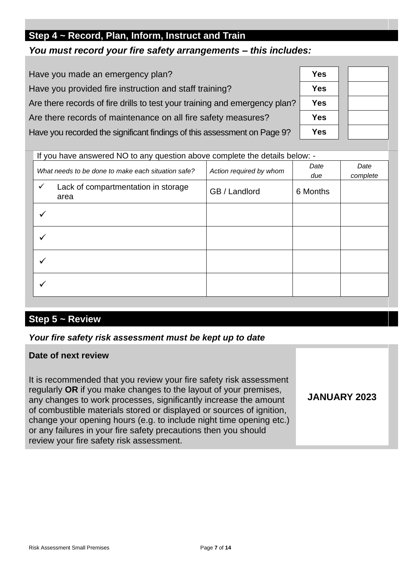# **Step 4 ~ Record, Plan, Inform, Instruct and Train**

## *You must record your fire safety arrangements – this includes:*

| Have you made an emergency plan?                                           | <b>Yes</b> |
|----------------------------------------------------------------------------|------------|
| Have you provided fire instruction and staff training?                     | <b>Yes</b> |
| Are there records of fire drills to test your training and emergency plan? | <b>Yes</b> |
| Are there records of maintenance on all fire safety measures?              | <b>Yes</b> |
| Have you recorded the significant findings of this assessment on Page 9?   | <b>Yes</b> |

| 5 |  |
|---|--|
| S |  |
| 5 |  |
| 5 |  |
| 5 |  |

**JANUARY 2023**

| If you have answered NO to any question above complete the details below: - |                         |             |                  |
|-----------------------------------------------------------------------------|-------------------------|-------------|------------------|
| What needs to be done to make each situation safe?                          | Action required by whom | Date<br>due | Date<br>complete |
| Lack of compartmentation in storage<br>$\checkmark$<br>area                 | GB / Landlord           | 6 Months    |                  |
|                                                                             |                         |             |                  |
|                                                                             |                         |             |                  |
|                                                                             |                         |             |                  |
|                                                                             |                         |             |                  |

# **Step 5 ~ Review**

#### *Your fire safety risk assessment must be kept up to date*

#### **Date of next review**

It is recommended that you review your fire safety risk assessment regularly **OR** if you make changes to the layout of your premises, any changes to work processes, significantly increase the amount of combustible materials stored or displayed or sources of ignition, change your opening hours (e.g. to include night time opening etc.) or any failures in your fire safety precautions then you should review your fire safety risk assessment.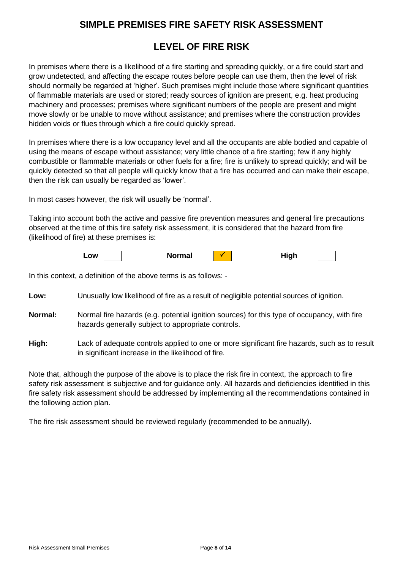### **SIMPLE PREMISES FIRE SAFETY RISK ASSESSMENT**

# **LEVEL OF FIRE RISK**

In premises where there is a likelihood of a fire starting and spreading quickly, or a fire could start and grow undetected, and affecting the escape routes before people can use them, then the level of risk should normally be regarded at 'higher'. Such premises might include those where significant quantities of flammable materials are used or stored; ready sources of ignition are present, e.g. heat producing machinery and processes; premises where significant numbers of the people are present and might move slowly or be unable to move without assistance; and premises where the construction provides hidden voids or flues through which a fire could quickly spread.

In premises where there is a low occupancy level and all the occupants are able bodied and capable of using the means of escape without assistance; very little chance of a fire starting; few if any highly combustible or flammable materials or other fuels for a fire; fire is unlikely to spread quickly; and will be quickly detected so that all people will quickly know that a fire has occurred and can make their escape, then the risk can usually be regarded as 'lower'.

In most cases however, the risk will usually be 'normal'.

Taking into account both the active and passive fire prevention measures and general fire precautions observed at the time of this fire safety risk assessment, it is considered that the hazard from fire (likelihood of fire) at these premises is:

| _OW |  | Normal |  | High |  |  |
|-----|--|--------|--|------|--|--|
|-----|--|--------|--|------|--|--|

In this context, a definition of the above terms is as follows: -

**Low:** Unusually low likelihood of fire as a result of negligible potential sources of ignition.

- **Normal:** Normal fire hazards (e.g. potential ignition sources) for this type of occupancy, with fire hazards generally subject to appropriate controls.
- **High:** Lack of adequate controls applied to one or more significant fire hazards, such as to result in significant increase in the likelihood of fire.

Note that, although the purpose of the above is to place the risk fire in context, the approach to fire safety risk assessment is subjective and for guidance only. All hazards and deficiencies identified in this fire safety risk assessment should be addressed by implementing all the recommendations contained in the following action plan.

The fire risk assessment should be reviewed regularly (recommended to be annually).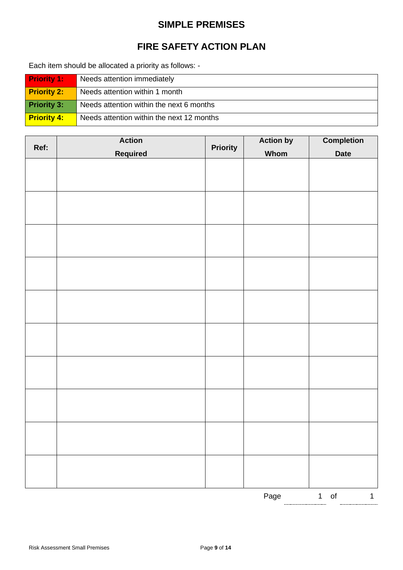### **SIMPLE PREMISES**

# **FIRE SAFETY ACTION PLAN**

Each item should be allocated a priority as follows: -

| <b>Priority 1:</b> | Needs attention immediately               |
|--------------------|-------------------------------------------|
| <b>Priority 2:</b> | Needs attention within 1 month            |
| <b>Priority 3:</b> | Needs attention within the next 6 months  |
| <b>Priority 4:</b> | Needs attention within the next 12 months |

| Ref: | <b>Action</b> |                 | <b>Action by</b> | <b>Completion</b>      |
|------|---------------|-----------------|------------------|------------------------|
|      | Required      | <b>Priority</b> | <b>Whom</b>      | <b>Date</b>            |
|      |               |                 |                  |                        |
|      |               |                 |                  |                        |
|      |               |                 |                  |                        |
|      |               |                 |                  |                        |
|      |               |                 |                  |                        |
|      |               |                 |                  |                        |
|      |               |                 |                  |                        |
|      |               |                 |                  |                        |
|      |               |                 |                  |                        |
|      |               |                 |                  |                        |
|      |               |                 |                  |                        |
|      |               |                 |                  |                        |
|      |               |                 |                  |                        |
|      |               |                 |                  |                        |
|      |               |                 |                  |                        |
|      |               |                 |                  |                        |
|      |               |                 |                  |                        |
|      |               |                 |                  |                        |
|      |               |                 |                  |                        |
|      |               |                 |                  |                        |
|      |               |                 |                  |                        |
|      |               |                 |                  |                        |
|      |               |                 |                  |                        |
|      |               |                 |                  |                        |
|      |               |                 |                  |                        |
|      |               |                 |                  |                        |
|      |               |                 | Page             | $1$ of<br>$\mathbf{1}$ |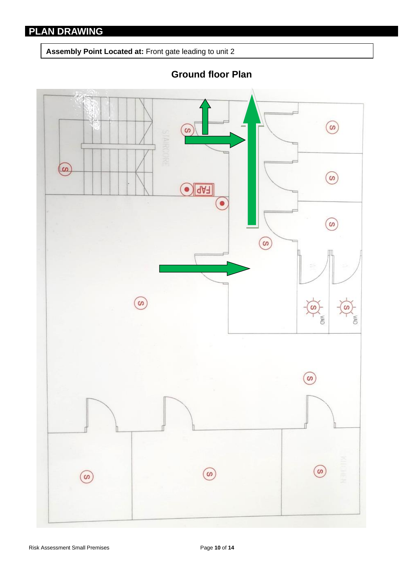**Assembly Point Located at:** Front gate leading to unit 2



**Ground floor Plan**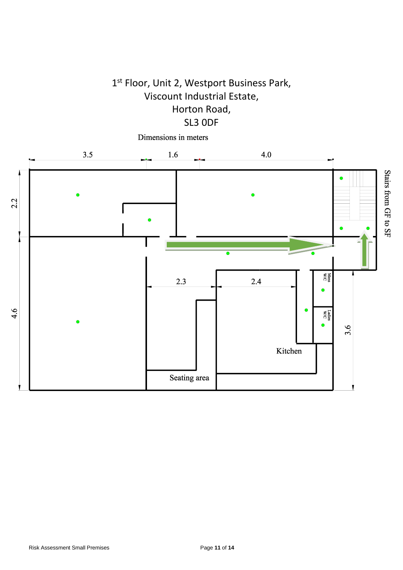# 1 st Floor, Unit 2, Westport Business Park, Viscount Industrial Estate, Horton Road, SL3 0DF

Dimensions in meters

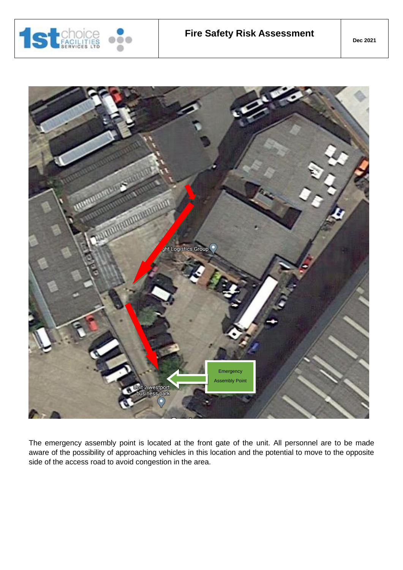



The emergency assembly point is located at the front gate of the unit. All personnel are to be made aware of the possibility of approaching vehicles in this location and the potential to move to the opposite side of the access road to avoid congestion in the area.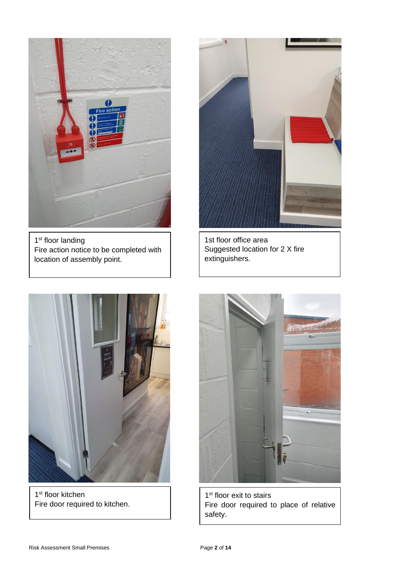

1<sup>st</sup> floor landing Fire action notice to be completed with location of assembly point.



1st floor office area Suggested location for 2 X fire extinguishers.



1<sup>st</sup> floor kitchen Fire door required to kitchen.



1<sup>st</sup> floor exit to stairs Fire door required to place of relative safety.